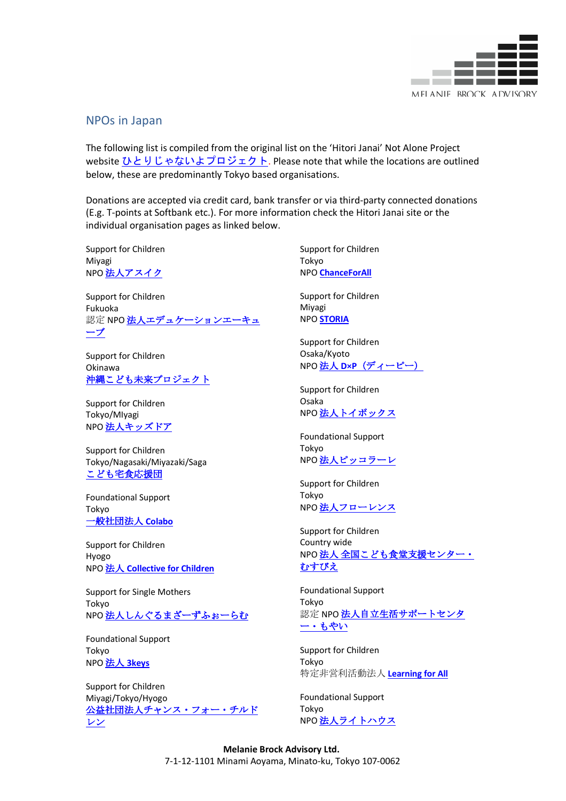

## NPOs in Japan

The following list is compiled from the original list on the 'Hitori Janai' Not Alone Project website ひとりじゃないよプロジェクト. Please note that while the locations are outlined below, these are predominantly Tokyo based organisations.

Donations are accepted via credit card, bank transfer or via third-party connected donations (E.g. T-points at Softbank etc.). For more information check the Hitori Janai site or the individual organisation pages as linked below.

Support for Children Miyagi NPO法人アスイク

Support for Children Fukuoka 認定 NPO法人エデュケーションエーキュ ーブ

Support for Children Okinawa 沖縄こども未来プロジェクト

Support for Children Tokyo/MIyagi NPO 法人キッズドア

Support for Children Tokyo/Nagasaki/Miyazaki/Saga こども宅食応援団

Foundational Support Tokyo 一般社団法人 **Colabo**

Support for Children Hyogo NPO 法人 **Collective for Children**

Support for Single Mothers Tokyo NPO 法人しんぐるまざーずふぉーらむ

Foundational Support Tokyo NPO 法人 **3keys**

Support for Children Miyagi/Tokyo/Hyogo 公益社団法人チャンス・フォー・チルド レン

Support for Children Tokyo NPO **ChanceForAll**

Support for Children Miyagi NPO **STORIA**

Support for Children Osaka/Kyoto NPO 法人 **D×P**(ディーピー)

Support for Children Osaka NPO 法人トイボックス

Foundational Support Tokyo NPO 法人ピッコラーレ

Support for Children Tokyo NPO 法人フローレンス

Support for Children Country wide NPO 法人 全国こども食堂支援センター むすびえ

Foundational Support Tokyo 認定 NPO法人自立生活サポートセンタ ー・もやい

Support for Children Tokyo 特定非営利活動法人 **Learning for All**

Foundational Support Tokyo NPO 法人ライトハウス

**Melanie Brock Advisory Ltd.** 7-1-12-1101 Minami Aoyama, Minato-ku, Tokyo 107-0062